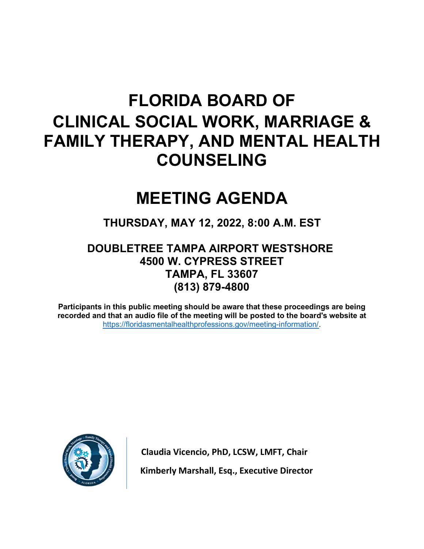# FLORIDA BOARD OF CLINICAL SOCIAL WORK, MARRIAGE & FAMILY THERAPY, AND MENTAL HEALTH COUNSELING

# MEETING AGENDA

# THURSDAY, MAY 12, 2022, 8:00 A.M. EST

# DOUBLETREE TAMPA AIRPORT WESTSHORE 4500 W. CYPRESS STREET TAMPA, FL 33607 (813) 879-4800

Participants in this public meeting should be aware that these proceedings are being recorded and that an audio file of the meeting will be posted to the board's website at https://floridasmentalhealthprofessions.gov/meeting-information/.



Claudia Vicencio, PhD, LCSW, LMFT, Chair Kimberly Marshall, Esq., Executive Director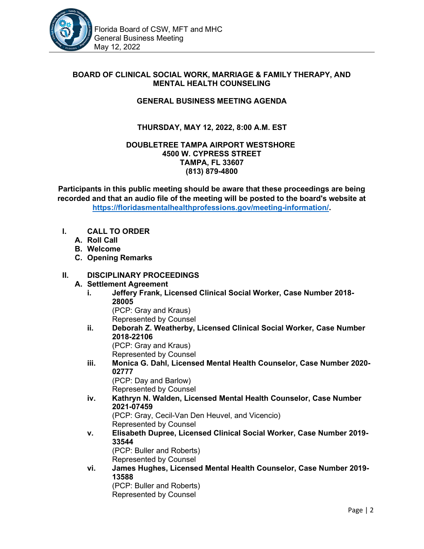

#### BOARD OF CLINICAL SOCIAL WORK, MARRIAGE & FAMILY THERAPY, AND MENTAL HEALTH COUNSELING

#### GENERAL BUSINESS MEETING AGENDA

# THURSDAY, MAY 12, 2022, 8:00 A.M. EST

#### DOUBLETREE TAMPA AIRPORT WESTSHORE 4500 W. CYPRESS STREET TAMPA, FL 33607 (813) 879-4800

Participants in this public meeting should be aware that these proceedings are being recorded and that an audio file of the meeting will be posted to the board's website at https://floridasmentalhealthprofessions.gov/meeting-information/.

- I. CALL TO ORDER
	- A. Roll Call
	- B. Welcome
	- C. Opening Remarks

#### II. DISCIPLINARY PROCEEDINGS

#### A. Settlement Agreement

i. Jeffery Frank, Licensed Clinical Social Worker, Case Number 2018- 28005 (PCP: Gray and Kraus) Represented by Counsel ii. Deborah Z. Weatherby, Licensed Clinical Social Worker, Case Number 2018-22106 (PCP: Gray and Kraus) Represented by Counsel iii. Monica G. Dahl, Licensed Mental Health Counselor, Case Number 2020- 02777 (PCP: Day and Barlow) Represented by Counsel iv. Kathryn N. Walden, Licensed Mental Health Counselor, Case Number 2021-07459 (PCP: Gray, Cecil-Van Den Heuvel, and Vicencio) Represented by Counsel v. Elisabeth Dupree, Licensed Clinical Social Worker, Case Number 2019- 33544 (PCP: Buller and Roberts) Represented by Counsel vi. James Hughes, Licensed Mental Health Counselor, Case Number 2019- 13588 (PCP: Buller and Roberts) Represented by Counsel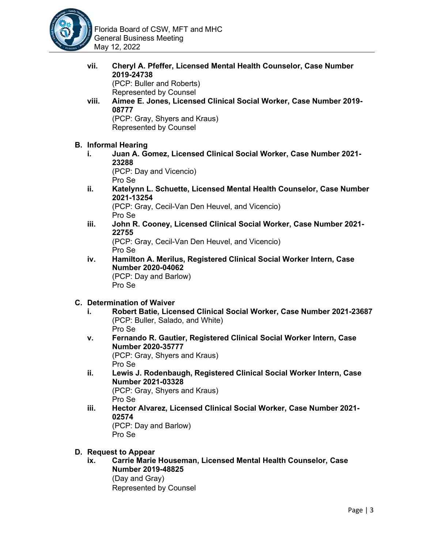

vii. Cheryl A. Pfeffer, Licensed Mental Health Counselor, Case Number 2019-24738 (PCP: Buller and Roberts) Represented by Counsel viii. Aimee E. Jones, Licensed Clinical Social Worker, Case Number 2019- 08777 (PCP: Gray, Shyers and Kraus) Represented by Counsel B. Informal Hearing i. Juan A. Gomez, Licensed Clinical Social Worker, Case Number 2021- 23288 (PCP: Day and Vicencio) Pro Se ii. Katelynn L. Schuette, Licensed Mental Health Counselor, Case Number 2021-13254 (PCP: Gray, Cecil-Van Den Heuvel, and Vicencio) Pro Se iii. John R. Cooney, Licensed Clinical Social Worker, Case Number 2021- 22755

(PCP: Gray, Cecil-Van Den Heuvel, and Vicencio) Pro Se

iv. Hamilton A. Merilus, Registered Clinical Social Worker Intern, Case Number 2020-04062 (PCP: Day and Barlow) Pro Se

## C. Determination of Waiver

- i. Robert Batie, Licensed Clinical Social Worker, Case Number 2021-23687 (PCP: Buller, Salado, and White) Pro Se
- v. Fernando R. Gautier, Registered Clinical Social Worker Intern, Case Number 2020-35777

(PCP: Gray, Shyers and Kraus) Pro Se

- ii. Lewis J. Rodenbaugh, Registered Clinical Social Worker Intern, Case Number 2021-03328 (PCP: Gray, Shyers and Kraus) Pro Se
- iii. Hector Alvarez, Licensed Clinical Social Worker, Case Number 2021- 02574

(PCP: Day and Barlow) Pro Se

D. Request to Appear

ix. Carrie Marie Houseman, Licensed Mental Health Counselor, Case Number 2019-48825 (Day and Gray) Represented by Counsel